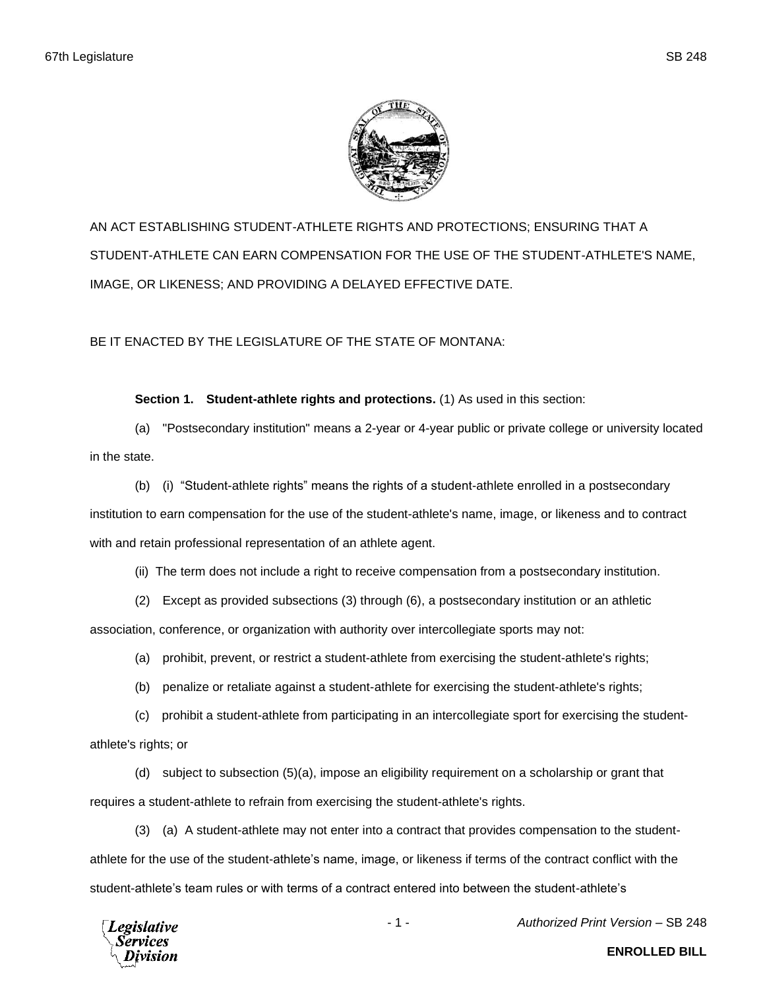

AN ACT ESTABLISHING STUDENT-ATHLETE RIGHTS AND PROTECTIONS; ENSURING THAT A STUDENT-ATHLETE CAN EARN COMPENSATION FOR THE USE OF THE STUDENT-ATHLETE'S NAME, IMAGE, OR LIKENESS; AND PROVIDING A DELAYED EFFECTIVE DATE.

BE IT ENACTED BY THE LEGISLATURE OF THE STATE OF MONTANA:

**Section 1. Student-athlete rights and protections.** (1) As used in this section:

(a) "Postsecondary institution" means a 2-year or 4-year public or private college or university located in the state.

(b) (i) "Student-athlete rights" means the rights of a student-athlete enrolled in a postsecondary institution to earn compensation for the use of the student-athlete's name, image, or likeness and to contract with and retain professional representation of an athlete agent.

(ii) The term does not include a right to receive compensation from a postsecondary institution.

(2) Except as provided subsections (3) through (6), a postsecondary institution or an athletic

association, conference, or organization with authority over intercollegiate sports may not:

(a) prohibit, prevent, or restrict a student-athlete from exercising the student-athlete's rights;

(b) penalize or retaliate against a student-athlete for exercising the student-athlete's rights;

(c) prohibit a student-athlete from participating in an intercollegiate sport for exercising the studentathlete's rights; or

(d) subject to subsection (5)(a), impose an eligibility requirement on a scholarship or grant that requires a student-athlete to refrain from exercising the student-athlete's rights.

(3) (a) A student-athlete may not enter into a contract that provides compensation to the studentathlete for the use of the student-athlete's name, image, or likeness if terms of the contract conflict with the student-athlete's team rules or with terms of a contract entered into between the student-athlete's



- 1 - *Authorized Print Version* – SB 248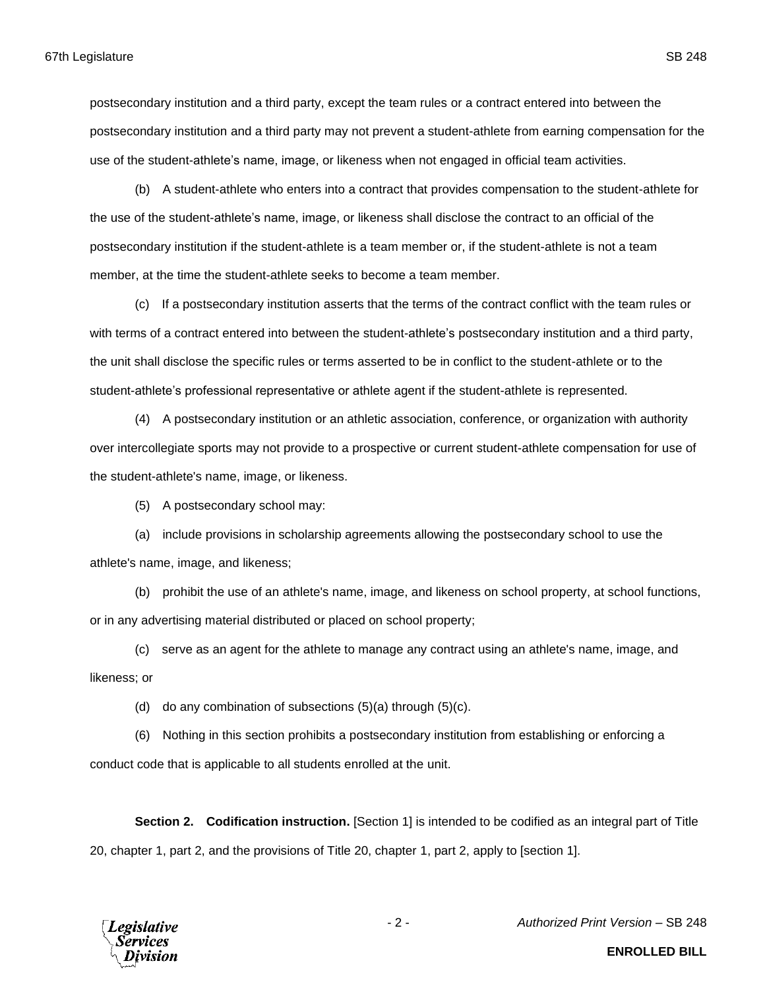postsecondary institution and a third party, except the team rules or a contract entered into between the postsecondary institution and a third party may not prevent a student-athlete from earning compensation for the use of the student-athlete's name, image, or likeness when not engaged in official team activities.

(b) A student-athlete who enters into a contract that provides compensation to the student-athlete for the use of the student-athlete's name, image, or likeness shall disclose the contract to an official of the postsecondary institution if the student-athlete is a team member or, if the student-athlete is not a team member, at the time the student-athlete seeks to become a team member.

(c) If a postsecondary institution asserts that the terms of the contract conflict with the team rules or with terms of a contract entered into between the student-athlete's postsecondary institution and a third party, the unit shall disclose the specific rules or terms asserted to be in conflict to the student-athlete or to the student-athlete's professional representative or athlete agent if the student-athlete is represented.

(4) A postsecondary institution or an athletic association, conference, or organization with authority over intercollegiate sports may not provide to a prospective or current student-athlete compensation for use of the student-athlete's name, image, or likeness.

(5) A postsecondary school may:

(a) include provisions in scholarship agreements allowing the postsecondary school to use the athlete's name, image, and likeness;

(b) prohibit the use of an athlete's name, image, and likeness on school property, at school functions, or in any advertising material distributed or placed on school property;

(c) serve as an agent for the athlete to manage any contract using an athlete's name, image, and likeness; or

(d) do any combination of subsections  $(5)(a)$  through  $(5)(c)$ .

(6) Nothing in this section prohibits a postsecondary institution from establishing or enforcing a conduct code that is applicable to all students enrolled at the unit.

**Section 2. Codification instruction.** [Section 1] is intended to be codified as an integral part of Title 20, chapter 1, part 2, and the provisions of Title 20, chapter 1, part 2, apply to [section 1].



- 2 - *Authorized Print Version* – SB 248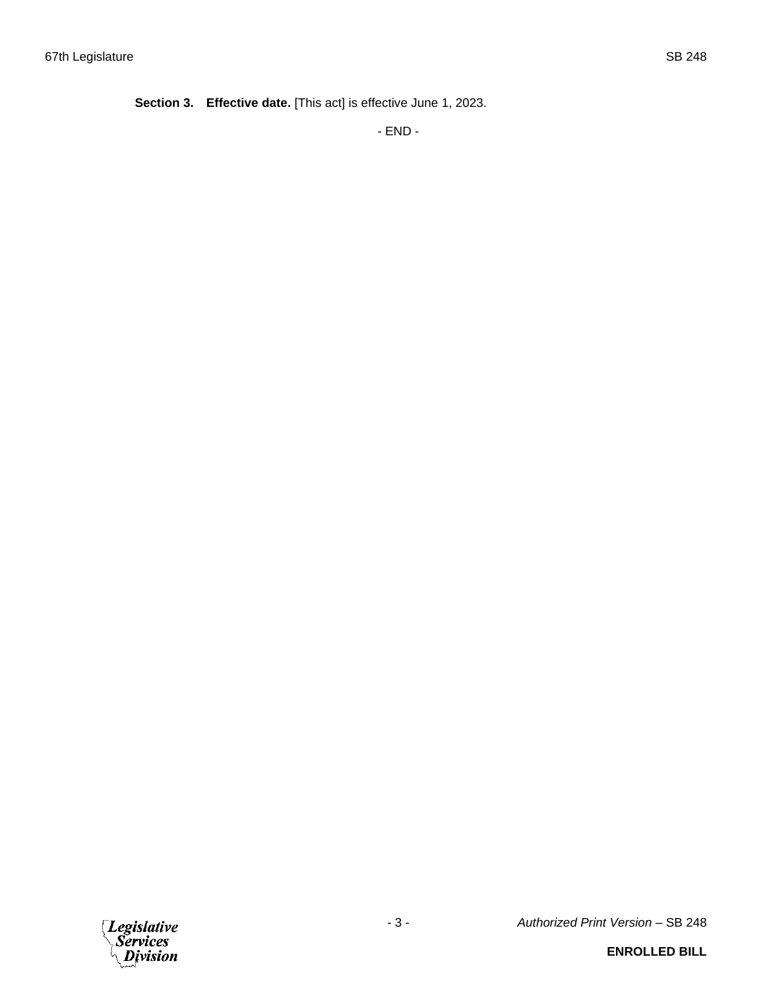**Section 3. Effective date.** [This act] is effective June 1, 2023.

- END -



## **ENROLLED BILL**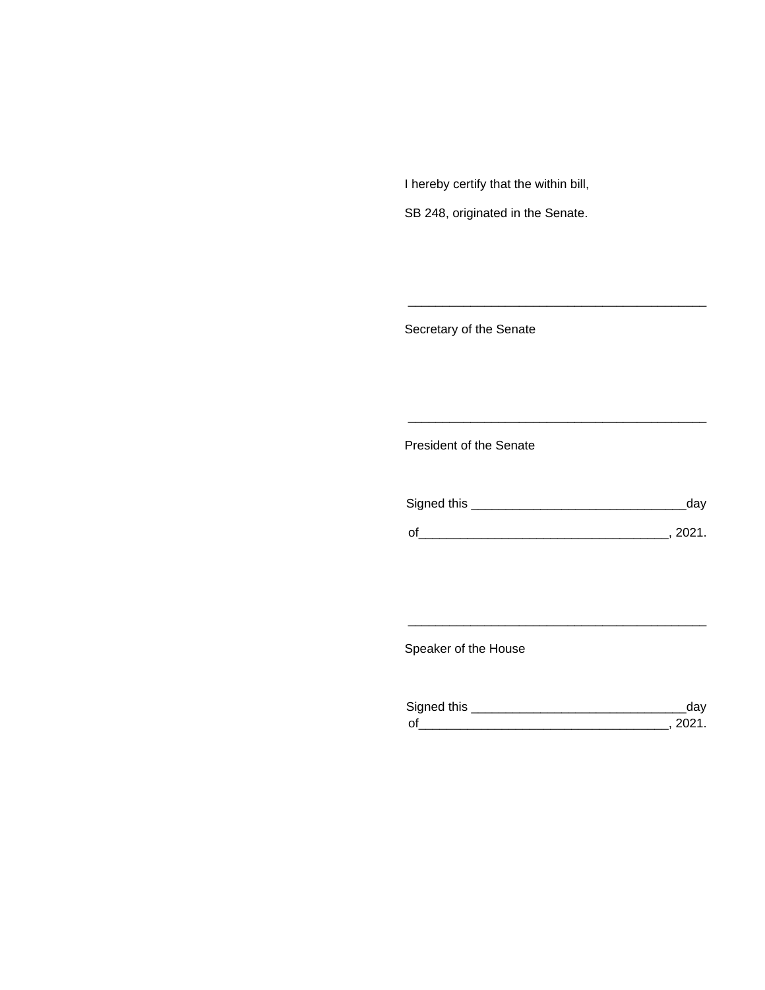I hereby certify that the within bill,

SB 248, originated in the Senate.

Secretary of the Senate

President of the Senate

| Signed this |        |
|-------------|--------|
| $\Omega$    | 111'11 |
|             |        |

\_\_\_\_\_\_\_\_\_\_\_\_\_\_\_\_\_\_\_\_\_\_\_\_\_\_\_\_\_\_\_\_\_\_\_\_\_\_\_\_\_\_\_

\_\_\_\_\_\_\_\_\_\_\_\_\_\_\_\_\_\_\_\_\_\_\_\_\_\_\_\_\_\_\_\_\_\_\_\_\_\_\_\_\_\_\_

Speaker of the House

| Sianed this |  |
|-------------|--|
| $\Omega$    |  |

\_\_\_\_\_\_\_\_\_\_\_\_\_\_\_\_\_\_\_\_\_\_\_\_\_\_\_\_\_\_\_\_\_\_\_\_\_\_\_\_\_\_\_